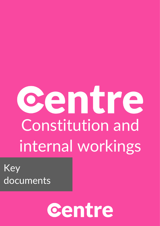# centre Constitution and internal workings

Key documents

## centre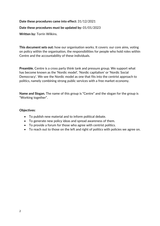## **Date these procedures came into effect:** 31/12/2021 **Date these procedures must be updated by:** 01/01/2023

**Written by:** Torrin Wilkins.

**This document sets out:** how our organisation works. It covers: our core aims, voting on policy within the organisation, the responsibilities for people who hold roles within Centre and the accountability of these individuals.

**Preamble.** Centre is a cross party think tank and pressure group. We support what has become known as the 'Nordic model', 'Nordic capitalism' or 'Nordic Social Democracy'. We see the Nordic model as one that fits into the centrist approach to politics, namely combining strong public services with a free market economy.

**Name and Slogan.** The name of this group is "Centre" and the slogan for the group is "Working together".

#### **Objectives:**

- To publish new material and to inform political debate.
- To generate new policy ideas and spread awareness of them.
- To provide a forum for those who agree with centrist politics.
- To reach out to those on the left and right of politics with policies we agree on.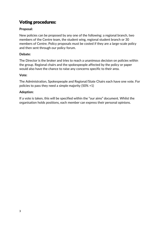## Voting procedures:

#### **Proposal:**

New policies can be proposed by any one of the following: a regional branch, two members of the Centre team, the student wing, regional student branch or 30 members of Centre. Policy proposals must be costed if they are a large-scale policy and then sent through our policy forum.

#### **Debate:**

The Director is the broker and tries to reach a unanimous decision on policies within the group. Regional chairs and the spokespeople affected by the policy or paper would also have the chance to raise any concerns specific to their area.

#### **Vote:**

The Administration, Spokespeople and Regional/State Chairs each have one vote. For policies to pass they need a simple majority (50% +1)

#### **Adoption:**

If a vote is taken, this will be specified within the "our aims" document. Whilst the organisation holds positions, each member can express their personal opinions.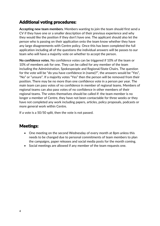## Additional voting procedures:

**Accepting new team members.** Members wanting to join the team should first send a CV if they have one or a smaller description of their previous experience and why they would like the position if they don't have one. The applicant should also let the person who is passing on their application onto the team know whether they have any large disagreements with Centre policy. Once this has been completed the full application including all of the questions the individual answers will be passes to our team who will have a majority vote on whether to accept the person.

**No confidence votes.** No confidence votes can be triggered if 10% of the team or 10% of members ask for one. They can be called for any member of the team including the Administration, Spokespeople and Regional/State Chairs. The question for the vote will be "do you have confidence in (name)?", the answers would be "Yes", "No" or "unsure". If a majority votes "Yes" then the person will be removed from their position. There may be no more than one confidence vote in a person per year. The main team can pass votes of no confidence in member of regional teams. Members of regional teams can also pass votes of no confidence in other members of their regional teams. The votes themselves should be called if: the team member is no longer a member of Centre, they have not been contactable for three weeks or they have not completed any work including papers, articles, policy proposals, podcasts or more general work within Centre.

If a vote is a 50/50 split, then the vote is not passed.

## Meetings:

- One meeting on the second Wednesday of every month at 8pm unless this needs to be changed due to personal commitments of team members to plan the campaigns, paper releases and social media posts for the month coming.
- Social meetings are allowed if any member of the team requests one.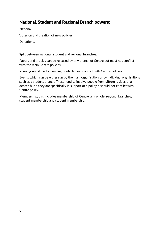## National, Student and Regional Branch powers:

#### **National:**

Votes on and creation of new policies.

Donations.

#### **Split between national, student and regional branches:**

Papers and articles can be released by any branch of Centre but must not conflict with the main Centre policies.

Running social media campaigns which can't conflict with Centre policies.

Events which can be either run by the main organisation or by individual orginisations such as a student branch. These tend to involve people from different sides of a debate but if they are specifically in support of a policy it should not conflict with Centre policy.

Membership, this includes membership of Centre as a whole, regional branches, student membership and student membership.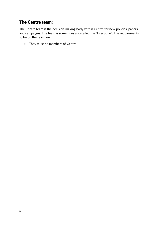## The Centre team:

The Centre team is the decision-making body within Centre for new policies, papers and campaigns. The team is sometimes also called the "Executive". The requirements to be on the team are:

• They must be members of Centre.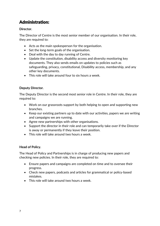## Administration:

#### **Director.**

The Director of Centre is the most senior member of our organisation. In their role, they are required to:

- Acts as the main spokesperson for the organisation.
- Set the long-term goals of the organisation.
- Deal with the day to day running of Centre.
- Update the constitution, disability access and diversity monitoring key documents. They also sends emails on updates to policies such as safeguarding, privacy, constitutional, Disability access, membership, and any other key documents.
- This role will take around four to six hours a week.

#### **Deputy Director.**

The Deputy Director is the second most senior role in Centre. In their role, they are required to:

- Work on our grassroots support by both helping to open and supporting new branches.
- Keep our existing partners up to date with our activities, papers we are writing and campaigns we are running.
- Agree new partnerships with other organisations.
- Support the director in their role and can temporarily take over if the Director is away or permanently if they leave their position.
- This role will take around two hours a week.

#### **Head of Policy.**

The Head of Policy and Partnerships is in charge of producing new papers and checking new policies. In their role, they are required to:

- Ensure papers and campaigns are completed on time and to oversee their progress.
- Check new papers, podcasts and articles for grammatical or policy-based mistakes.
- This role will take around two hours a week.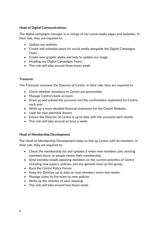#### **Head of Digital Communications.**

The digital campaigns manager is in charge of our social media pages and websites. In their role, they are required to:

- Update our website.
- Create and schedule posts for social media alongside the Digital Campaigns Team.
- Create new graphic styles and help to update our image.
- Heading our Digital Campaigns Team.
- This role will take around three hours week.

#### **Treasurer.**

The Treasurer oversees the finances of Centre. In their role, they are required to:

- Check whether donations to Centre are permissible.
- Manage Centre's bank account.
- Draw up and submit the accounts and the confirmation statement for Centre each year.
- Write up a more detailed financial statement for the Centre Website.
- Look for new potential donors.
- Ensure the Director of Centre is up to date with the accounts each month.
- This role will take around an hour a week.

#### **Head of Membership Development.**

The Head of Membership Development helps to link up Centre with its members. In their role, they are required to:

- Check the membership list and updates it when new members join, existing members leave, or people renew their membership.
- Send monthly emails updating members on the current activities of Centre including new papers, policies, and any general news on the group.
- Runs the Centre Policy Forum.
- Keep the Director up to date on new members every two weeks.
- Manage votes by the team on new policies.
- Write up the minutes of each meeting.
- This role will take around two hours week.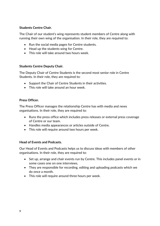#### **Students Centre Chair.**

The Chair of our student's wing represents student members of Centre along with running their own wing of the organisation. In their role, they are required to:

- Run the social media pages for Centre students.
- Head up the students wing for Centre.
- This role will take around two hours week.

#### **Students Centre Deputy Chair.**

The Deputy Chair of Centre Students is the second most senior role in Centre Students. In their role, they are required to:

- Support the Chair of Centre Students in their activities.
- This role will take around an hour week.

#### **Press Officer.**

The Press Officer manages the relationship Centre has with media and news organisations. In their role, they are required to:

- Runs the press office which includes press releases or external press coverage of Centre or our team.
- Handles media appearances or articles outside of Centre.
- This role will require around two hours per week.

#### **Head of Events and Podcasts.**

Our Head of Events and Podcasts helps us to discuss ideas with members of other organisations. In their role, they are required to:

- Set up, arrange and chair events run by Centre. This includes panel events or in some cases one on one interviews.
- They are responsible for recording, editing and uploading podcasts which we do once a month.
- This role will require around three hours per week.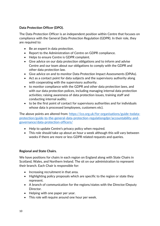#### **Data Protection Officer (DPO).**

The Data Protection Officer is an independent position within Centre that focuses on compliance with the General Data Protection Regulation (GDPR). In their role, they are required to:

- Be an expert in data protection.
- Report to the Administration of Centre on GDPR compliance.
- Helps to ensure Centre is GDPR complaint.
- Give advice on our data protection obligations and to inform and advise Centre and our team about our obligations to comply with the GDPR and other data protection law.
- Give advice on and to monitor Data Protection Impact Assessments (DPIAs).
- Act as a contact point for data subjects and the supervisory authority along with cooperating with the supervisory authority.
- to monitor compliance with the GDPR and other data protection laws, and with our data protection polices, including managing internal data protection activities; raising awareness of data protection issues, training staff and conducting internal audits;
- to be the first point of contact for supervisory authorities and for individuals whose data is processed (employees, customers etc).

The above points are altered from: [https://ico.org.uk/for-organisations/guide-todata](https://ico.org.uk/for-organisations/guide-todata-protection/guide-to-the-general-data-protection-regulationgdpr/accountability-and-governance/data-protection-officers/)[protection/guide-to-the-general-data-protection-regulationgdpr/accountability-and](https://ico.org.uk/for-organisations/guide-todata-protection/guide-to-the-general-data-protection-regulationgdpr/accountability-and-governance/data-protection-officers/)[governance/data-protection-officers/](https://ico.org.uk/for-organisations/guide-todata-protection/guide-to-the-general-data-protection-regulationgdpr/accountability-and-governance/data-protection-officers/)

- Help to update Centre's privacy policy when required.
- This role should take up about an hour a week although this will vary between weeks if there are more or less GDPR related requests and queries.

#### **Regional and State Chairs.**

We have positions for chairs in each region on England along with State Chairs in Scotland, Wales, and Northern Ireland. The sit on our administration to represent their branch. Each Chair is responsible for:

- Increasing recruitment in that area.
- Highlighting policy proposals which are specific to the region or state they represent.
- A branch of communication for the regions/states with the Director/Deputy Director.
- Helping with one paper per year.
- This role will require around one hour per week.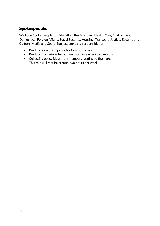## Spokespeople:

We have Spokespeople for Education, the Economy, Health Care, Environment, Democracy, Foreign Affairs, Social Security, Housing, Transport, Justice, Equality and Culture, Media and Sport. Spokespeople are responsible for:

- Producing one new paper for Centre per-year.
- Producing an article for our website once every two months.
- Collecting policy ideas from members relating to their area.
- This role will require around two hours per week.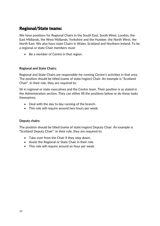## Regional/State teams:

We have positions for Regional Chairs in the South East, South West, London, the East Midlands, the West Midlands, Yorkshire and the Humber, the North West, the North East. We also have state Chairs in Wales, Scotland and Northern Ireland. To be a regional or state Chair members must:

• Be a member of Centre in that region.

#### **Regional and State Chairs:**

Regional and State Chairs are responsible for running Centre's activities in that area. The position should be titled (name of state/region) Chair. An example is "Scotland Chair". In their role, they are required to:

Sit in regional or state executives and the Centre team. Their position is as stated in the Administration section. They can either fill the positions below or do these tasks themselves.

- Deal with the day to day running of the branch.
- This role will require around two hours per week.

#### **Deputy chairs:**

The position should be titled (name of state/region) Deputy Chair. An example is "Scotland Deputy Chair". In their role, they are required to:

- Take over from the Chair if they step down.
- Assist the Regional or State Chair in their role.
- This role will require around an hour per week.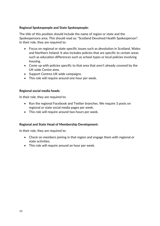#### **Regional Spokespeople and State Spokespeople:**

The title of this position should include the name of region or state and the Spokespersons area. This should read as: "Scotland Devolved Health Spokesperson". In their role, they are required to:

- Focus on regional or state specific issues such as devolution in Scotland, Wales and Northern Ireland. It also includes policies that are specific to certain areas such as education differences such as school types or local policies involving housing.
- Come up with policies specific to that area that aren't already covered by the UK wide Centre aims.
- Support Centres UK wide campaigns.
- This role will require around one hour per week.

#### **Regional social media heads:**

In their role, they are required to:

- Run the regional Facebook and Twitter branches. We require 3 posts on regional or state social media pages per week.
- This role will require around two hours per week.

#### **Regional and State Head of Membership Development:**

In their role, they are required to:

- Check on members joining in that region and engage them with regional or state activities.
- This role will require around an hour per week.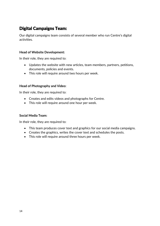## Digital Campaigns Team:

Our digital campaigns team consists of several member who run Centre's digital activities.

#### **Head of Website Development:**

In their role, they are required to:

- Updates the website with new articles, team members, partners, petitions, documents, policies and events.
- This role will require around two hours per week.

#### **Head of Photography and Video:**

In their role, they are required to:

- Creates and edits videos and photographs for Centre.
- This role will require around one hour per week.

#### **Social Media Team:**

In their role, they are required to:

- This team produces cover text and graphics for our social media campaigns.
- Creates the graphics, writes the cover text and schedules the posts.
- This role will require around three hours per week.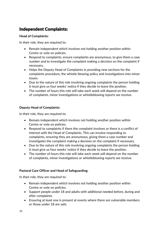## Independent Complaints:

#### **Head of Complaints:**

In their role, they are required to:

- Remain independent which involves not holding another position within Centre or vote on policies.
- Respond to complaints, ensure complaints are anonymous, to give them a case number and to investigate the complaint making a decision on the complaint if necessary.
- Helps the Deputy Head of Complaints in providing new sections for the complaints procedure, the whistle blowing policy and investigations into minor issues.
- Due to the nature of this role involving ongoing complaints the person holding it must give us four weeks' notice if they decide to leave the position.
- The number of hours this role will take each week will depend on the number of complaints, minor investigations or whistleblowing reports we receive.

#### **Deputy Head of Complaints:**

In their role, they are required to:

- Remain independent which involves not holding another position within Centre or vote on policies.
- Respond to complaints if there the complaint involves or there is a conflict of interest with the Head of Complaints. This can involve responding to complaints, ensuring they are anonymous, giving them a case number and investigates the complaint making a decision on the complaint if necessary.
- Due to the nature of this role involving ongoing complaints the person holding it must give us four weeks' notice if they decide to leave the position.
- The number of hours this role will take each week will depend on the number of complaints, minor investigations or whistleblowing reports we receive.

#### **Pastoral Care Officer and Head of Safeguarding:**

In their role, they are required to:

- Remain independent which involves not holding another position within Centre or vote on policies.
- Support people under 18 and adults with additional needed before, during and after complaints.
- Ensuring at least one is present at events where there are vulnerable members or those under 18 are safe.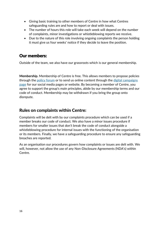- Giving basic training to other members of Centre in how what Centres safeguarding rules are and how to report or deal with issues.
- The number of hours this role will take each week will depend on the number of complaints, minor investigations or whistleblowing reports we receive.
- Due to the nature of this role involving ongoing complaints the person holding it must give us four weeks' notice if they decide to leave the position.

## Our members:

Outside of the team, we also have our grassroots which is our general membership.

**Membership.** Membership of Centre is free. This allows members to propose policies through the [policy forum](https://www.facebook.com/groups/CentrePolicyForum) or to send us online content through the digital campaigns [page](https://www.facebook.com/groups/696284520803848) for our social media pages or website. By becoming a member of Centre, you agree to support the group's main principles, abide by our membership terms and our code of conduct. Membership may be withdrawn if you bring the group onto disrepute.

### Rules on complaints within Centre:

Complaints will be delt with by our complaints procedure which can be used if a member breaks our code of conduct. We also have a minor issues procedure if members for smaller issues that don't break the code of conduct alongside a whistleblowing procedure for internal issues with the functioning of the organisation or its members. Finally, we have a safeguarding procedure to ensure any safeguarding breaches are reported.

As an organisation our procedures govern how complaints or issues are delt with. We will, however, not allow the use of any Non-Disclosure Agreements (NDA's) within Centre.